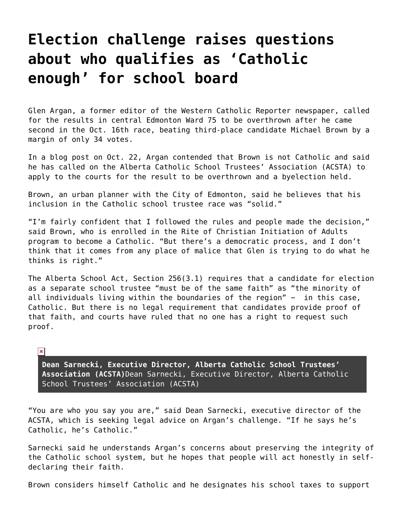## **[Election challenge raises questions](https://grandinmedia.ca/election-challenge-raises-questions-about-who-qualifies-as-catholic-enough-for-school-board/) [about who qualifies as 'Catholic](https://grandinmedia.ca/election-challenge-raises-questions-about-who-qualifies-as-catholic-enough-for-school-board/) [enough' for school board](https://grandinmedia.ca/election-challenge-raises-questions-about-who-qualifies-as-catholic-enough-for-school-board/)**

Glen Argan, a former editor of the Western Catholic Reporter newspaper, called for the results in central Edmonton Ward 75 to be overthrown after he came second in the Oct. 16th race, beating third-place candidate Michael Brown by a margin of only 34 votes.

In a [blog post on Oct. 22](https://glenargan.com/2017/10/22/are-catholic-school-boards-catholic-acsta-should-challenge-election-in-ward-75/), Argan contended that Brown is not Catholic and said he has called on the Alberta Catholic School Trustees' Association (ACSTA) to apply to the courts for the result to be overthrown and a byelection held.

Brown, an urban planner with the City of Edmonton, said he believes that his inclusion in the Catholic school trustee race was "solid."

"I'm fairly confident that I followed the rules and people made the decision," said Brown, who is enrolled in the Rite of Christian Initiation of Adults program to become a Catholic. "But there's a democratic process, and I don't think that it comes from any place of malice that Glen is trying to do what he thinks is right."

The [Alberta School Act](http://www.qp.alberta.ca/documents/Acts/s03.pdf), Section 256(3.1) requires that a candidate for election as a separate school trustee "must be of the same faith" as "the minority of all individuals living within the boundaries of the region" - in this case, Catholic. But there is no legal requirement that candidates provide proof of that faith, and courts have ruled that no one has a right to request such proof.

## $\pmb{\times}$

**Dean Sarnecki, Executive Director, Alberta Catholic School Trustees' Association (ACSTA)**Dean Sarnecki, Executive Director, Alberta Catholic School Trustees' Association (ACSTA)

"You are who you say you are," said Dean Sarnecki, executive director of the ACSTA, which is seeking legal advice on Argan's challenge. "If he says he's Catholic, he's Catholic."

Sarnecki said he understands Argan's concerns about preserving the integrity of the Catholic school system, but he hopes that people will act honestly in selfdeclaring their faith.

Brown considers himself Catholic and he designates his school taxes to support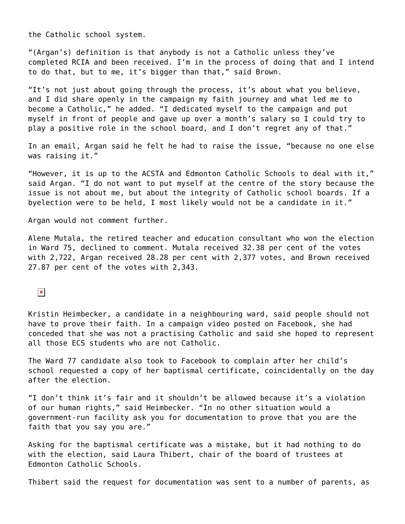the Catholic school system.

"(Argan's) definition is that anybody is not a Catholic unless they've completed RCIA and been received. I'm in the process of doing that and I intend to do that, but to me, it's bigger than that," said Brown.

"It's not just about going through the process, it's about what you believe, and I did share openly in the campaign my faith journey and what led me to become a Catholic," he added. "I dedicated myself to the campaign and put myself in front of people and gave up over a month's salary so I could try to play a positive role in the school board, and I don't regret any of that."

In an email, Argan said he felt he had to raise the issue, "because no one else was raising it."

"However, it is up to the ACSTA and Edmonton Catholic Schools to deal with it," said Argan. "I do not want to put myself at the centre of the story because the issue is not about me, but about the integrity of Catholic school boards. If a byelection were to be held, I most likely would not be a candidate in it."

Argan would not comment further.

Alene Mutala, the retired teacher and education consultant who won the election in Ward 75, declined to comment. Mutala received 32.38 per cent of the votes with 2,722, Argan received 28.28 per cent with 2,377 votes, and Brown received 27.87 per cent of the votes with 2,343.

## $\pmb{\times}$

Kristin Heimbecker, a candidate in a neighbouring ward, said people should not have to prove their faith. In a campaign video posted on Facebook, she had conceded that she was not a practising Catholic and said she hoped to represent all those ECS students who are not Catholic.

The Ward 77 candidate also took to Facebook to complain after her child's school requested a copy of her baptismal certificate, coincidentally on the day after the election.

"I don't think it's fair and it shouldn't be allowed because it's a violation of our human rights," said Heimbecker. "In no other situation would a government-run facility ask you for documentation to prove that you are the faith that you say you are."

Asking for the baptismal certificate was a mistake, but it had nothing to do with the election, said Laura Thibert, chair of the board of trustees at Edmonton Catholic Schools.

Thibert said the request for documentation was sent to a number of parents, as